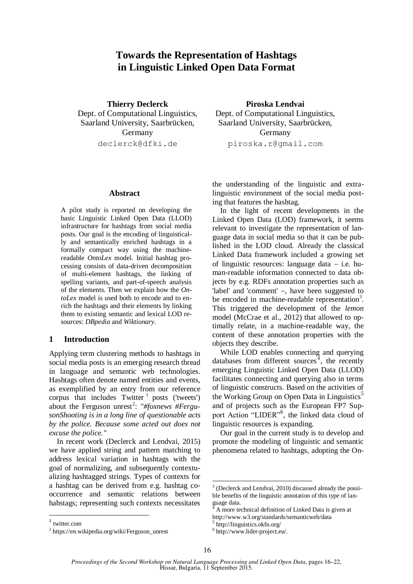# **Towards the Representation of Hashtags in Linguistic Linked Open Data Format**

**Thierry Declerck** Dept. of Computational Linguistics, Saarland University, Saarbrücken, Germany declerck@dfki.de

# **Abstract**

A pilot study is reported on developing the basic Linguistic Linked Open Data (LLOD) infrastructure for hashtags from social media posts. Our goal is the encoding of linguistically and semantically enriched hashtags in a formally compact way using the machinereadable *OntoLex* model. Initial hashtag processing consists of data-driven decomposition of multi-element hashtags, the linking of spelling variants, and part-of-speech analysis of the elements. Then we explain how the *OntoLex* model is used both to encode and to enrich the hashtags and their elements by linking them to existing semantic and lexical LOD resources: *DBpedia* and *Wiktionary*.

# **1 Introduction**

Applying term clustering methods to hashtags in social media posts is an emerging research thread in language and semantic web technologies. Hashtags often denote named entities and events, as exemplified by an entry from our reference corpus that includes  $Twitter^{-1}$  posts ('tweets') about the Ferguson unrest<sup>2</sup>: "#foxnews #Fergu*sonShooting is in a long line of questionable acts by the police. Because some acted out does not excuse the police."*

In recent work (Declerck and Lendvai, 2015) we have applied string and pattern matching to address lexical variation in hashtags with the goal of normalizing, and subsequently contextualizing hashtagged strings. Types of contexts for a hashtag can be derived from e.g. hashtag cooccurrence and semantic relations between hahstags; representing such contexts necessitates

**Piroska Lendvai** Dept. of Computational Linguistics, Saarland University, Saarbrücken, Germany piroska.r@gmail.com

the understanding of the linguistic and extralinguistic environment of the social media posting that features the hashtag.

In the light of recent developments in the Linked Open Data (LOD) framework, it seems relevant to investigate the representation of language data in social media so that it can be published in the LOD cloud. Already the classical Linked Data framework included a growing set of linguistic resources: language data  $-$  i.e. human-readable information connected to data objects by e.g. RDFs annotation properties such as 'label' and 'comment'  $-$ , have been suggested to be encoded in machine-readable representation<sup>3</sup>. This triggered the development of the *lemon* model (McCrae et al., 2012) that allowed to optimally relate, in a machine-readable way, the content of these annotation properties with the objects they describe.

While LOD enables connecting and querying databases from different sources<sup> $4$ </sup>, the recently emerging Linguistic Linked Open Data (LLOD) facilitates connecting and querying also in terms of linguistic constructs. Based on the activities of the Working Group on Open Data in Linguistics<sup>5</sup> and of projects such as the European FP7 Support Action "LIDER"<sup>6</sup>, the linked data cloud of linguistic resources is expanding.

Our goal in the current study is to develop and promote the modeling of linguistic and semantic phenomena related to hashtags, adopting the On-

<sup>&</sup>lt;sup>3</sup> (Declerck and Lendvai, 2010) discussed already the possible benefits of the linguistic annotation of this type of language data.

<sup>4</sup> A more technical definition of Linked Data is given at http://www.w3.org/standards/semanticweb/data

<sup>5</sup> http://linguistics.okfn.org/

<sup>6</sup> http://www.lider-project.eu/.

<sup>&</sup>lt;sup>2</sup> https://en.wikipedia.org/wiki/Ferguson\_unrest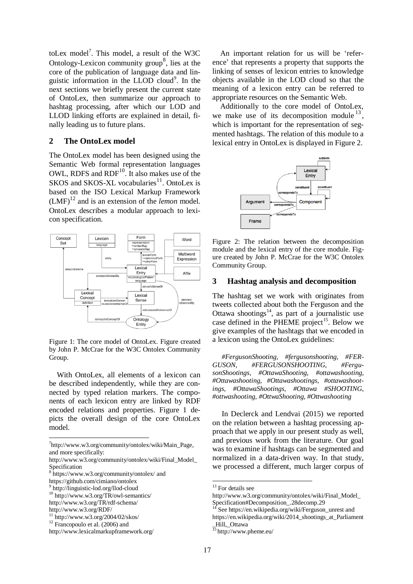toLex model<sup>7</sup>. This model, a result of the W3C Ontology-Lexicon community group<sup>8</sup>, lies at the core of the publication of language data and linguistic information in the LLOD cloud<sup>9</sup>. In the next sections we briefly present the current state of OntoLex, then summarize our approach to hashtag processing, after which our LOD and LLOD linking efforts are explained in detail, finally leading us to future plans.

# **2 The OntoLex model**

The OntoLex model has been designed using the Semantic Web formal representation languages OWL, RDFS and  $RDF<sup>10</sup>$ . It also makes use of the SKOS and SKOS-XL vocabularies<sup>11</sup>. OntoLex is based on the ISO Lexical Markup Framework  $(LMF)^{12}$  and is an extension of the *lemon* model. OntoLex describes a modular approach to lexicon specification.



Figure 1: The core model of OntoLex. Figure created by John P. McCrae for the W3C Ontolex Community Group.

With OntoLex, all elements of a lexicon can be described independently, while they are connected by typed relation markers. The components of each lexicon entry are linked by RDF encoded relations and properties. Figure 1 depicts the overall design of the core OntoLex model.

7 http://www.w3.org/community/ontolex/wiki/Main\_Page, and more specifically:

8 https://www.w3.org/community/ontolex/ and

An important relation for us will be 'reference' that represents a property that supports the linking of senses of lexicon entries to knowledge objects available in the LOD cloud so that the meaning of a lexicon entry can be referred to appropriate resources on the Semantic Web.

Additionally to the core model of OntoLex, we make use of its decomposition module  $^{13}$ , which is important for the representation of segmented hashtags. The relation of this module to a lexical entry in OntoLex is displayed in Figure 2.



Figure 2: The relation between the decomposition module and the lexical entry of the core module. Figure created by John P. McCrae for the W3C Ontolex Community Group.

# **3 Hashtag analysis and decomposition**

The hashtag set we work with originates from tweets collected about both the Ferguson and the Ottawa shootings<sup>14</sup>, as part of a journalistic use case defined in the PHEME project<sup>15</sup>. Below we give examples of the hashtags that we encoded in a lexicon using the OntoLex guidelines:

*#FergusonShooting, #fergusonshooting, #FER-GUSON, #FERGUSONSHOOTING, #FergusonShootings, #OttawaShooting, #ottawashooting, #Ottawashooting, #Ottawashootings, #ottawashootings, #OttawaShootings, #Ottawa #SHOOTING, #ottwashooting, #OttwaShooting, #Ottwashooting* 

In Declerck and Lendvai (2015) we reported on the relation between a hashtag processing approach that we apply in our present study as well, and previous work from the literature. Our goal was to examine if hashtags can be segmented and normalized in a data-driven way. In that study, we processed a different, much larger corpus of

http://www.w3.org/community/ontolex/wiki/Final\_Model\_ Specification

https://github.com/cimiano/ontolex

<sup>9</sup> http://linguistic-lod.org/llod-cloud

<sup>10</sup> http://www.w3.org/TR/owl-semantics/ http://www.w3.org/TR/rdf-schema/

http://www.w3.org/RDF/

 $11$  http://www.w3.org/2004/02/skos/

 $12$  Francopoulo et al. (2006) and

http://www.lexicalmarkupframework.org/

<sup>&</sup>lt;sup>13</sup> For details see

http://www.w3.org/community/ontolex/wiki/Final\_Model\_ Specification#Decomposition\_.28decomp.29

See https://en.wikipedia.org/wiki/Ferguson\_unrest and

https://en.wikipedia.org/wiki/2014\_shootings\_at\_Parliament Hill, Ottawa

 $\frac{15}{15}$ http://www.pheme.eu/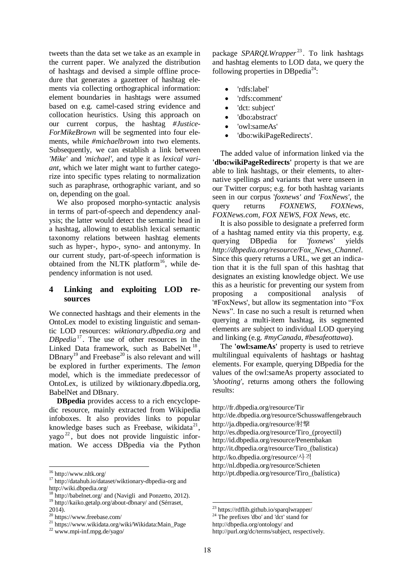tweets than the data set we take as an example in the current paper. We analyzed the distribution of hashtags and devised a simple offline procedure that generates a gazetteer of hashtag elements via collecting orthographical information: element boundaries in hashtags were assumed based on e.g. camel-cased string evidence and collocation heuristics. Using this approach on our current corpus, the hashtag *#Justice-ForMikeBrown* will be segmented into four elements, while *#michaelbrown* into two elements. Subsequently, we can establish a link between *'Mike'* and *'michael'*, and type it as *lexical variant,* which we later might want to further categorize into specific types relating to normalization such as paraphrase, orthographic variant, and so on, depending on the goal.

We also proposed morpho-syntactic analysis in terms of part-of-speech and dependency analysis; the latter would detect the semantic head in a hashtag, allowing to establish lexical semantic taxonomy relations between hashtag elements such as hyper-, hypo-, syno- and antonymy. In our current study, part-of-speech information is obtained from the NLTK platform $16$ , while dependency information is not used.

# **4 Linking and exploiting LOD resources**

We connected hashtags and their elements in the OntoLex model to existing linguistic and semantic LOD resources: *wiktionary.dbpedia.org* and *DBpedia*<sup>17</sup> . The use of other resources in the Linked Data framework, such as BabelNet<sup>18</sup>,  $DBnary<sup>19</sup>$  and Freebase<sup>20</sup> is also relevant and will be explored in further experiments. The *lemon* model, which is the immediate predecessor of OntoLex, is utilized by wiktionary.dbpedia.org, BabelNet and DBnary.

**DBpedia** provides access to a rich encyclopedic resource, mainly extracted from Wikipedia infoboxes. It also provides links to popular knowledge bases such as Freebase, wikidata<sup>21</sup>, yago<sup>22</sup>, but does not provide linguistic information. We access DBpedia via the Python

<sup>16</sup> http://www.nltk.org/

package SPARQLWrapper<sup>23</sup>. To link hashtags and hashtag elements to LOD data, we query the following properties in DBpedia<sup>24</sup>:

- 'rdfs:label'
- 'rdfs:comment'
- 'dct: subject'
- 'dbo:abstract'
- 'owl:sameAs'
- 'dbo:wikiPageRedirects'.

The added value of information linked via the **'dbo:wikiPageRedirects'** property is that we are able to link hashtags, or their elements, to alternative spellings and variants that were unseen in our Twitter corpus; e.g. for both hashtag variants seen in our corpus '*foxnews' and 'FoxNews',* the query returns *FOXNEWS, FOXNews, FOXNews.com, FOX NEWS, FOX News*, etc.

It is also possible to designate a preferred form of a hashtag named entity via this property, e.g. querying DBpedia for '*foxnews'* yields *http://dbpedia.org/resource/Fox\_News\_Channel*. Since this query returns a URL, we get an indication that it is the full span of this hashtag that designates an existing knowledge object. We use this as a heuristic for preventing our system from proposing a compositional analysis of '#FoxNews', but allow its segmentation into "Fox News". In case no such a result is returned when querying a multi-item hashtag, its segmented elements are subject to individual LOD querying and linking (e.g. *#myCanada, #besafeottawa*).

The **'owl:sameAs'** property is used to retrieve multilingual equivalents of hashtags or hashtag elements. For example, querying DBpedia for the values of the owl:sameAs property associated to *'shooting'*, returns among others the following results:

<sup>&</sup>lt;sup>17</sup> http://datahub.io/dataset/wiktionary-dbpedia-org and http://wiki.dbpedia.org/

 $3 \text{ http://babelnet.org/}$  and (Navigli and Ponzetto, 2012). <sup>19</sup> http://kaiko.getalp.org/about-dbnary/ and (Sérraset,

<sup>2014).</sup>

<sup>20</sup> https://www.freebase.com/

<sup>21</sup> https://www.wikidata.org/wiki/Wikidata:Main\_Page

<sup>22</sup> www.mpi-inf.mpg.de/yago/

http://fr.dbpedia.org/resource/Tir http://de.dbpedia.org/resource/Schusswaffengebrauch http://ja.dbpedia.org/resource/射撃 http://es.dbpedia.org/resource/Tiro\_(proyectil) http://id.dbpedia.org/resource/Penembakan http://it.dbpedia.org/resource/Tiro\_(balistica) http://ko.dbpedia.org/resource/사격 http://nl.dbpedia.org/resource/Schieten http://pt.dbpedia.org/resource/Tiro\_(balística)

<sup>&</sup>lt;sup>23</sup> https://rdflib.github.io/sparqlwrapper/

 $^{24}$  The prefixes 'dbo' and 'dct' stand for

http://dbpedia.org/ontology/ and

http://purl.org/dc/terms/subject, respectively.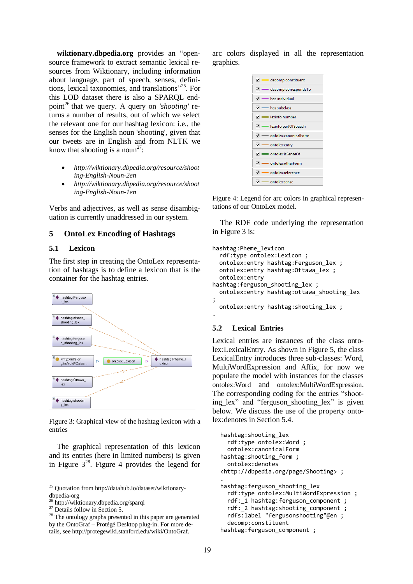**wiktionary.dbpedia.org** provides an "opensource framework to extract semantic lexical resources from Wiktionary, including information about language, part of speech, senses, definitions, lexical taxonomies, and translations" <sup>25</sup>. For this LOD dataset there is also a SPARQL endpoint<sup>26</sup> that we query. A query on *'shooting'* returns a number of results, out of which we select the relevant one for our hashtag lexicon: i.e., the senses for the English noun 'shooting', given that our tweets are in English and from NLTK we know that shooting is a noun<sup>27</sup>:

- *http://wiktionary.dbpedia.org/resource/shoot ing-English-Noun-2en*
- *http://wiktionary.dbpedia.org/resource/shoot ing-English-Noun-1en*

Verbs and adjectives, as well as sense disambiguation is currently unaddressed in our system.

# **5 OntoLex Encoding of Hashtags**

# **5.1 Lexicon**

The first step in creating the OntoLex representation of hashtags is to define a lexicon that is the container for the hashtag entries.



Figure 3: Graphical view of the hashtag lexicon with a entries

The graphical representation of this lexicon and its entries (here in limited numbers) is given in Figure  $3^{28}$ . Figure 4 provides the legend for

arc colors displayed in all the representation graphics.

| v - decomp:constituent               |
|--------------------------------------|
| decomp:correspondsTo                 |
| $\vee$ - has individual              |
| $\sqrt{}$ $\rightarrow$ has subclass |
| $\vee$ - lexinfo:number              |
| ► Iexinfo:partOfSpeech               |
| v - ontolex:canonicalForm            |
| $\sqrt{}$ - ontolex:entry            |
| v - ontolex:isSenseOf                |
| v - ontolex:otherForm                |
| v - ontolex:reference                |
| $\sqrt{}$ - ontolex:sense            |

Figure 4: Legend for arc colors in graphical representations of our OntoLex model.

The RDF code underlying the representation in Figure 3 is:

```
hashtag:Pheme_lexicon
   rdf:type ontolex:Lexicon ;
  ontolex: entry hashtag: Ferguson lex ;
   ontolex:entry hashtag:Ottawa_lex ;
   ontolex:entry 
hashtag:ferguson_shooting_lex ;
   ontolex:entry hashtag:ottawa_shooting_lex 
;
  ontolex: entry hashtag: shooting lex ;
```
#### **5.2 Lexical Entries**

.

Lexical entries are instances of the class ontolex:LexicalEntry. As shown in Figure 5, the class LexicalEntry introduces three sub-classes: Word, MultiWordExpression and Affix, for now we populate the model with instances for the classes ontolex:Word and ontolex:MultiWordExpression. The corresponding coding for the entries "shooting\_lex" and "ferguson\_shooting\_lex" is given below. We discuss the use of the property ontolex:denotes in Section 5.4.

```
hashtag:shooting_lex
   rdf:type ontolex:Word ;
   ontolex:canonicalForm 
hashtag:shooting_form ;
   ontolex:denotes 
<http://dbpedia.org/page/Shooting> ;
.
hashtag:ferguson shooting lex
   rdf:type ontolex:MultiWordExpression ;
  rdf: 1 hashtag:ferguson component ;
  rdf: 2 hashtag: shooting component ;
   rdfs:label "fergusonshooting"@en ;
   decomp:constituent 
hashtag:ferguson component ;
```
 $25$  Quotation from http://datahub.io/dataset/wiktionary-

dbpedia-org

<sup>&</sup>lt;sup>26</sup> http://wiktionary.dbpedia.org/sparql

 $27$  Details follow in Section 5.

<sup>&</sup>lt;sup>28</sup> The ontology graphs presented in this paper are generated by the OntoGraf – Protégé Desktop plug-in. For more details, see http://protegewiki.stanford.edu/wiki/OntoGraf.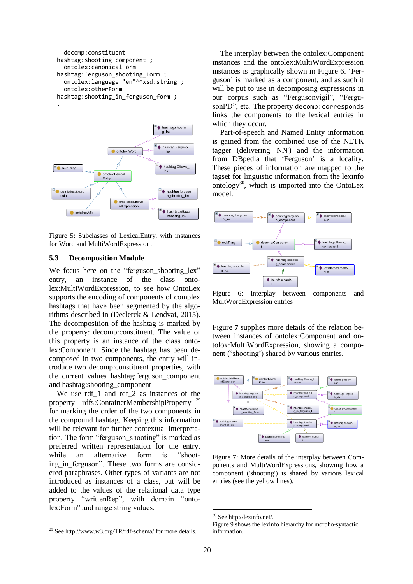```
 decomp:constituent 
hashtag: shooting component ;
   ontolex:canonicalForm 
hashtag:ferguson_shooting_form ;
   ontolex:language "en"^^xsd:string ;
   ontolex:otherForm 
hashtag:shooting_in_ferguson_form ;
```
.



Figure 5: Subclasses of LexicalEntry, with instances for Word and MultiWordExpression.

# **5.3 Decomposition Module**

We focus here on the "ferguson shooting lex" entry, an instance of the class ontolex:MultiWordExpression, to see how OntoLex supports the encoding of components of complex hashtags that have been segmented by the algorithms described in (Declerck & Lendvai, 2015). The decomposition of the hashtag is marked by the property: decomp:constituent. The value of this property is an instance of the class ontolex:Component. Since the hashtag has been decomposed in two components, the entry will introduce two decomp:constituent properties, with the current values hashtag:ferguson\_component and hashtag:shooting\_component

We use rdf<sup>1</sup> and rdf<sup>2</sup> as instances of the property rdfs:ContainerMembershipProperty<sup>29</sup> for marking the order of the two components in the compound hashtag. Keeping this information will be relevant for further contextual interpretation. The form "ferguson\_shooting" is marked as preferred written representation for the entry, while an alternative form is "shooting\_in\_ferguson". These two forms are considered paraphrases. Other types of variants are not introduced as instances of a class, but will be added to the values of the relational data type property "writtenRep", with domain "ontolex:Form" and range string values.

The interplay between the ontolex:Component instances and the ontolex:MultiWordExpression instances is graphically shown in Figure 6. 'Ferguson' is marked as a component, and as such it will be put to use in decomposing expressions in our corpus such as "Fergusonvigil", "FergusonPD", etc. The property decomp:corresponds links the components to the lexical entries in which they occur.

Part-of-speech and Named Entity information is gained from the combined use of the NLTK tagger (delivering 'NN') and the information from DBpedia that 'Ferguson' is a locality. These pieces of information are mapped to the tagset for linguistic information from the lexinfo ontology $30$ , which is imported into the OntoLex model.



Figure 6: Interplay between components and MultWordExpression entries

Figure **7** supplies more details of the relation between instances of ontolex:Component and ontolox:MultiWordExpression, showing a component ('shooting') shared by various entries.



Figure 7: More details of the interplay between Components and MultiWordExpressions, showing how a component ('shooting') is shared by various lexical entries (see the yellow lines).

<sup>&</sup>lt;sup>29</sup> See http://www.w3.org/TR/rdf-schema/ for more details.

<sup>30</sup> See http://lexinfo.net/.

Figure 9 shows the lexinfo hierarchy for morpho-syntactic information.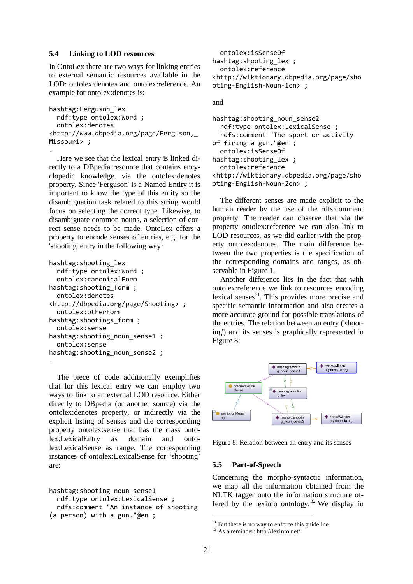#### **5.4 Linking to LOD resources**

.

.

In OntoLex there are two ways for linking entries to external semantic resources available in the LOD: ontolex:denotes and ontolex:reference. An example for ontolex:denotes is:

```
hashtag:Ferguson_lex
   rdf:type ontolex:Word ;
   ontolex:denotes 
<http://www.dbpedia.org/page/Ferguson,_
Missouri> ;
```
Here we see that the lexical entry is linked directly to a DBpedia resource that contains encyclopedic knowledge, via the ontolex:denotes property. Since 'Ferguson' is a Named Entity it is important to know the type of this entity so the disambiguation task related to this string would focus on selecting the correct type. Likewise, to disambiguate common nouns, a selection of correct sense needs to be made. OntoLex offers a property to encode senses of entries, e.g. for the 'shooting' entry in the following way:

```
hashtag:shooting_lex
   rdf:type ontolex:Word ;
   ontolex:canonicalForm 
hashtag: shooting form;
   ontolex:denotes 
<http://dbpedia.org/page/Shooting> ;
   ontolex:otherForm 
hashtag:shootings_form ;
   ontolex:sense 
hashtag: shooting noun sense1 ;
   ontolex:sense 
hashtag:shooting_noun_sense2 ;
```
The piece of code additionally exemplifies that for this lexical entry we can employ two ways to link to an external LOD resource. Either directly to DBpedia (or another source) via the ontolex:denotes property, or indirectly via the explicit listing of senses and the corresponding property ontolex:sense that has the class ontolex:LexicalEntry as domain and ontolex:LexicalSense as range. The corresponding instances of ontolex:LexicalSense for 'shooting' are:

```
hashtag: shooting noun sense1
   rdf:type ontolex:LexicalSense ;
   rdfs:comment "An instance of shooting 
(a person) with a gun."@en ;
```

```
 ontolex:isSenseOf 
hashtag: shooting lex ;
   ontolex:reference 
<http://wiktionary.dbpedia.org/page/sho
oting-English-Noun-1en> ;
```
and

```
hashtag: shooting noun sense2
   rdf:type ontolex:LexicalSense ;
   rdfs:comment "The sport or activity 
of firing a gun."@en ;
   ontolex:isSenseOf 
hashtag: shooting lex ;
   ontolex:reference 
<http://wiktionary.dbpedia.org/page/sho
oting-English-Noun-2en> ;
```
The different senses are made explicit to the human reader by the use of the rdfs:comment property. The reader can observe that via the property ontolex:reference we can also link to LOD resources, as we did earlier with the property ontolex:denotes. The main difference between the two properties is the specification of the corresponding domains and ranges, as observable in Figure 1.

Another difference lies in the fact that with ontolex:reference we link to resources encoding lexical senses<sup>31</sup>. This provides more precise and specific semantic information and also creates a more accurate ground for possible translations of the entries. The relation between an entry ('shooting') and its senses is graphically represented in Figure 8:



Figure 8: Relation between an entry and its senses

#### **5.5 Part-of-Speech**

Concerning the morpho-syntactic information, we map all the information obtained from the NLTK tagger onto the information structure offered by the lexinfo ontology.<sup>32</sup> We display in

 $31$  But there is no way to enforce this guideline.

<sup>32</sup> As a reminder: http://lexinfo.net/